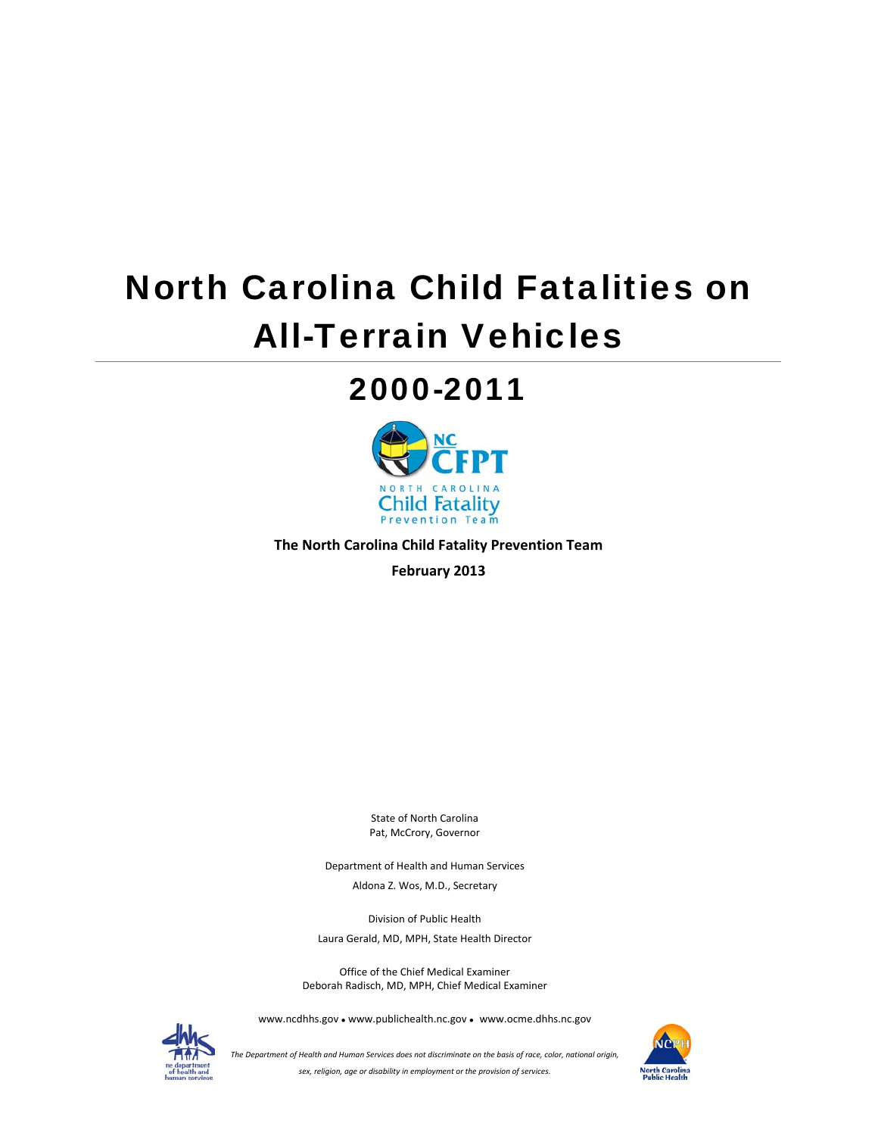# North Carolina Child Fatalities on All-Terrain Vehicles

# 2000-2011



**The North Carolina Child Fatality Prevention Team**

**February 2013**

State of North Carolina Pat, McCrory, Governor

Department of Health and Human Services Aldona Z. Wos, M.D., Secretary

Division of Public Health Laura Gerald, MD, MPH, State Health Director

Office of the Chief Medical Examiner Deborah Radisch, MD, MPH, Chief Medical Examiner

www.ncdhhs.gov • www.publichealth.nc.gov • www.ocme.dhhs.nc.gov



The Department of Health and Human Services does not discriminate on the basis of race, color, national origin, *sex, religion, age or disability in employment or the provision of services.*

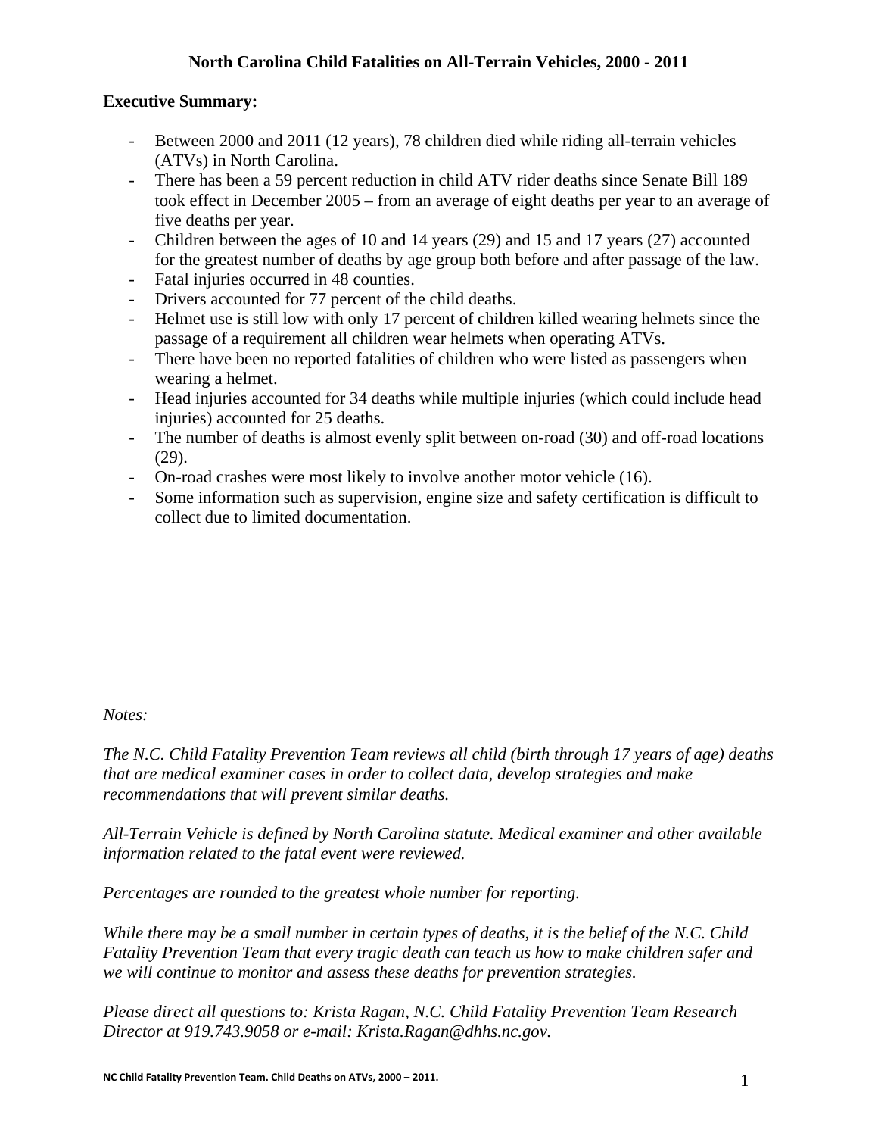# **North Carolina Child Fatalities on All-Terrain Vehicles, 2000 - 2011**

#### **Executive Summary:**

- Between 2000 and 2011 (12 years), 78 children died while riding all-terrain vehicles (ATVs) in North Carolina.
- There has been a 59 percent reduction in child ATV rider deaths since Senate Bill 189 took effect in December 2005 – from an average of eight deaths per year to an average of five deaths per year.
- Children between the ages of 10 and 14 years (29) and 15 and 17 years (27) accounted for the greatest number of deaths by age group both before and after passage of the law.
- Fatal injuries occurred in 48 counties.
- Drivers accounted for 77 percent of the child deaths.
- Helmet use is still low with only 17 percent of children killed wearing helmets since the passage of a requirement all children wear helmets when operating ATVs.
- There have been no reported fatalities of children who were listed as passengers when wearing a helmet.
- Head injuries accounted for 34 deaths while multiple injuries (which could include head injuries) accounted for 25 deaths.
- The number of deaths is almost evenly split between on-road (30) and off-road locations (29).
- On-road crashes were most likely to involve another motor vehicle (16).
- Some information such as supervision, engine size and safety certification is difficult to collect due to limited documentation.

#### *Notes:*

*The N.C. Child Fatality Prevention Team reviews all child (birth through 17 years of age) deaths that are medical examiner cases in order to collect data, develop strategies and make recommendations that will prevent similar deaths.* 

*All-Terrain Vehicle is defined by North Carolina statute. Medical examiner and other available information related to the fatal event were reviewed.* 

*Percentages are rounded to the greatest whole number for reporting.* 

*While there may be a small number in certain types of deaths, it is the belief of the N.C. Child Fatality Prevention Team that every tragic death can teach us how to make children safer and we will continue to monitor and assess these deaths for prevention strategies.* 

*Please direct all questions to: Krista Ragan, N.C. Child Fatality Prevention Team Research Director at 919.743.9058 or e-mail: Krista.Ragan@dhhs.nc.gov.*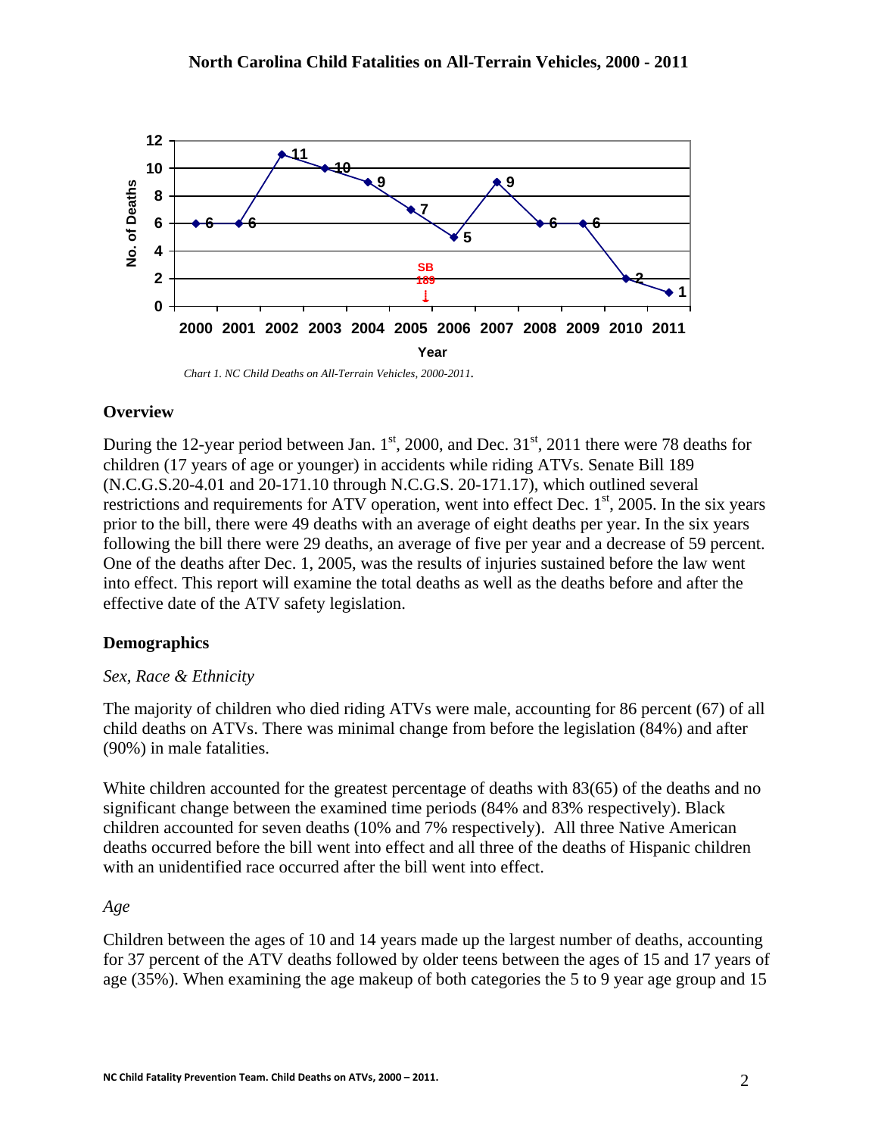

#### **Overview**

During the 12-year period between Jan.  $1<sup>st</sup>$ , 2000, and Dec.  $31<sup>st</sup>$ , 2011 there were 78 deaths for children (17 years of age or younger) in accidents while riding ATVs. Senate Bill 189 (N.C.G.S.20-4.01 and 20-171.10 through N.C.G.S. 20-171.17), which outlined several restrictions and requirements for ATV operation, went into effect Dec.  $1<sup>st</sup>$ , 2005. In the six years prior to the bill, there were 49 deaths with an average of eight deaths per year. In the six years following the bill there were 29 deaths, an average of five per year and a decrease of 59 percent. One of the deaths after Dec. 1, 2005, was the results of injuries sustained before the law went into effect. This report will examine the total deaths as well as the deaths before and after the effective date of the ATV safety legislation.

# **Demographics**

#### *Sex, Race & Ethnicity*

The majority of children who died riding ATVs were male, accounting for 86 percent (67) of all child deaths on ATVs. There was minimal change from before the legislation (84%) and after (90%) in male fatalities.

White children accounted for the greatest percentage of deaths with 83(65) of the deaths and no significant change between the examined time periods (84% and 83% respectively). Black children accounted for seven deaths (10% and 7% respectively). All three Native American deaths occurred before the bill went into effect and all three of the deaths of Hispanic children with an unidentified race occurred after the bill went into effect.

#### *Age*

Children between the ages of 10 and 14 years made up the largest number of deaths, accounting for 37 percent of the ATV deaths followed by older teens between the ages of 15 and 17 years of age (35%). When examining the age makeup of both categories the 5 to 9 year age group and 15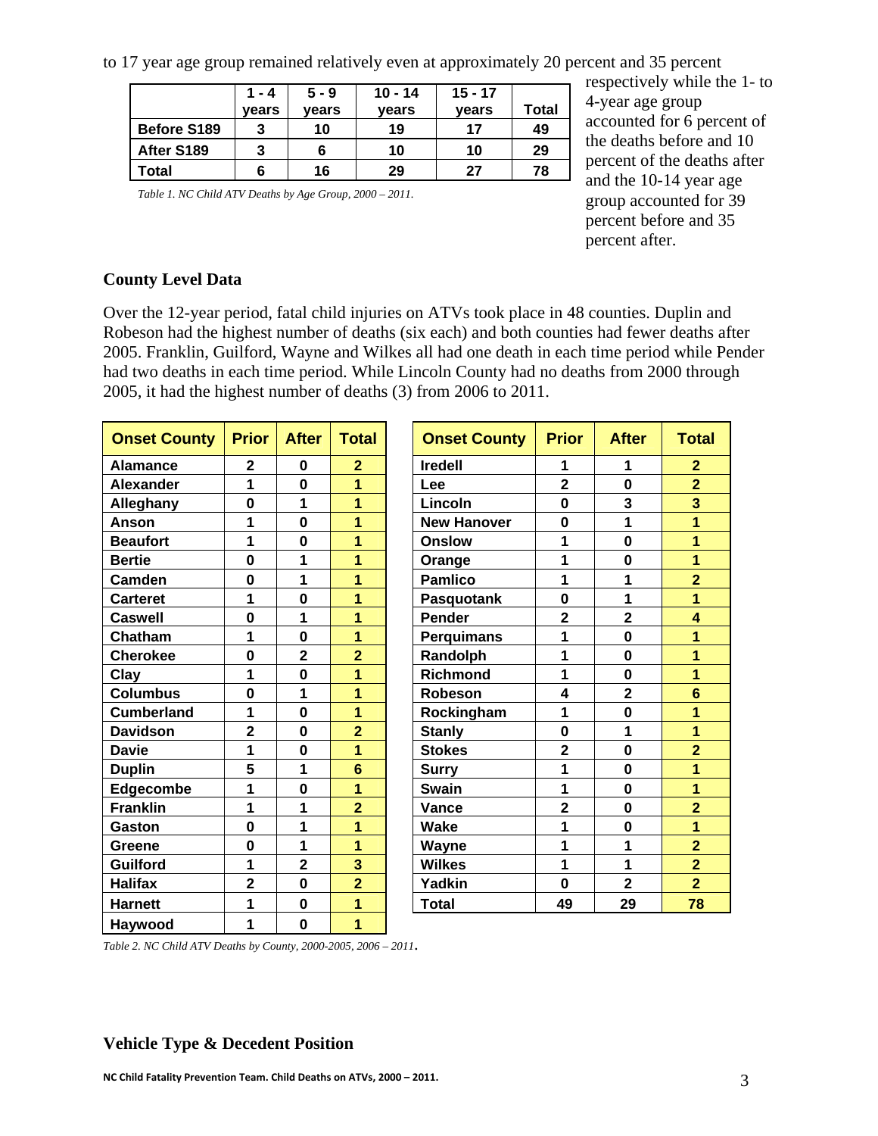to 17 year age group remained relatively even at approximately 20 percent and 35 percent

|                    | $1 - 4$ | $5 - 9$ | $10 - 14$ | $15 - 17$ |       |
|--------------------|---------|---------|-----------|-----------|-------|
|                    | vears   | vears   | vears     | vears     | Total |
| <b>Before S189</b> | 3       | 10      | 19        | 17        | 49    |
| After S189         | 3       | 6       | 10        | 10        | 29    |
| Total              | 6       | 16      | 29        | 27        | 78    |

*Table 1. NC Child ATV Deaths by Age Group, 2000 – 2011.* 

respectively while the 1- to 4-year age group accounted for 6 percent of the deaths before and 10 percent of the deaths after and the 10-14 year age group accounted for 39 percent before and 35 percent after.

#### **County Level Data**

Over the 12-year period, fatal child injuries on ATVs took place in 48 counties. Duplin and Robeson had the highest number of deaths (six each) and both counties had fewer deaths after 2005. Franklin, Guilford, Wayne and Wilkes all had one death in each time period while Pender had two deaths in each time period. While Lincoln County had no deaths from 2000 through 2005, it had the highest number of deaths (3) from 2006 to 2011.

| <b>Onset County</b> | <b>Prior</b>   | <b>After</b>   | <b>Total</b>            |  |
|---------------------|----------------|----------------|-------------------------|--|
| <b>Alamance</b>     | 2              | 0              | $\overline{2}$          |  |
| <b>Alexander</b>    | 1              | 0              | 1                       |  |
| Alleghany           | 0              | 1              | 1                       |  |
| Anson               | 1              | 0              | 1                       |  |
| <b>Beaufort</b>     | 1              | 0              | 1                       |  |
| <b>Bertie</b>       | 0              | 1              | 1                       |  |
| Camden              | 0              | 1              | 1                       |  |
| <b>Carteret</b>     | 1              | 0              | 1                       |  |
| <b>Caswell</b>      | 0              | 1              | 1                       |  |
| Chatham             | 1              | 0              | 1                       |  |
| <b>Cherokee</b>     | 0              | $\overline{2}$ | $\overline{2}$          |  |
| Clay                | 1              | O              | 1                       |  |
| <b>Columbus</b>     | 0              | 1              | $\overline{1}$          |  |
| <b>Cumberland</b>   | 1              | 0              | 1                       |  |
| <b>Davidson</b>     | $\overline{2}$ | 0              | $\overline{2}$          |  |
| Davie               | 1              | 0              | $\overline{1}$          |  |
| <b>Duplin</b>       | 5              | 1              | 6                       |  |
| Edgecombe           | 1              | 0              | 1                       |  |
| <b>Franklin</b>     | 1              | 1              | $\overline{\mathbf{2}}$ |  |
| <b>Gaston</b>       | 0              | 1              | $\overline{1}$          |  |
| <b>Greene</b>       | 0              | 1              | 1                       |  |
| <b>Guilford</b>     | 1              | $\overline{2}$ | 3                       |  |
| <b>Halifax</b>      | $\overline{2}$ | 0              | $\overline{\mathbf{2}}$ |  |
| <b>Harnett</b>      | 1              | 0              | 1                       |  |
| Haywood             | 1              | 0              | 1                       |  |

| <b>Onset County</b> | <b>Prior</b>   | <b>After</b>   | <b>Total</b>   | <b>Onset County</b> | <b>Prior</b>   | <b>After</b>            | <b>Total</b>            |
|---------------------|----------------|----------------|----------------|---------------------|----------------|-------------------------|-------------------------|
| <b>Alamance</b>     | $\mathbf{2}$   | $\bf{0}$       | $\overline{2}$ | <b>Iredell</b>      | 1              | 1                       | $\overline{2}$          |
| <b>Alexander</b>    | 1              | $\bf{0}$       | 1              | Lee                 | $\overline{2}$ | $\bf{0}$                | $\overline{2}$          |
| <b>Alleghany</b>    | $\bf{0}$       | 1              | 1              | Lincoln             | $\bf{0}$       | 3                       | $\overline{\mathbf{3}}$ |
| Anson               | 1              | $\bf{0}$       | 1              | <b>New Hanover</b>  | $\bf{0}$       | 1                       | 1                       |
| <b>Beaufort</b>     | 1              | $\bf{0}$       | 1              | <b>Onslow</b>       | 1              | $\bf{0}$                | 1                       |
| <b>Bertie</b>       | $\bf{0}$       | 1              | 1              | Orange              | 1              | $\bf{0}$                | 1                       |
| <b>Camden</b>       | $\mathbf 0$    | 1              | 1              | <b>Pamlico</b>      | 1              | 1                       | $\overline{2}$          |
| <b>Carteret</b>     | 1              | $\bf{0}$       | 1              | Pasquotank          | $\bf{0}$       | 1                       | 1                       |
| <b>Caswell</b>      | $\bf{0}$       | 1              | 1              | <b>Pender</b>       | $\overline{2}$ | $\overline{2}$          | $\overline{\mathbf{4}}$ |
| <b>Chatham</b>      | 1              | $\bf{0}$       | 1              | <b>Perquimans</b>   | 1              | $\mathbf 0$             | 1                       |
| <b>Cherokee</b>     | 0              | $\overline{2}$ | $\overline{2}$ | Randolph            | 1              | $\bf{0}$                | 1                       |
| Clay                | 1              | $\bf{0}$       | 1              | Richmond            | 1              | $\bf{0}$                | 1                       |
| <b>Columbus</b>     | $\bf{0}$       | 1              | 1              | <b>Robeson</b>      | 4              | $\overline{\mathbf{2}}$ | $6\phantom{1}6$         |
| <b>Cumberland</b>   | 1              | $\mathbf 0$    | 1              | Rockingham          | 1              | $\bf{0}$                | 1                       |
| <b>Davidson</b>     | 2              | $\mathbf 0$    | $\overline{2}$ | <b>Stanly</b>       | $\bf{0}$       | 1                       | 1                       |
| <b>Davie</b>        | 1              | $\mathbf 0$    | 1              | <b>Stokes</b>       | $\overline{2}$ | $\bf{0}$                | $\overline{2}$          |
| <b>Duplin</b>       | 5              | 1              | 6              | <b>Surry</b>        | 1              | $\bf{0}$                | 1                       |
| Edgecombe           | 1              | $\bf{0}$       | 1              | <b>Swain</b>        | 1              | $\bf{0}$                | 1                       |
| <b>Franklin</b>     | 1              | 1              | $\overline{2}$ | Vance               | $\overline{2}$ | $\mathbf 0$             | $\overline{2}$          |
| Gaston              | 0              | 1              | 1              | Wake                | 1              | $\bf{0}$                | 1                       |
| Greene              | $\mathbf 0$    | 1              | 1              | Wayne               | 1              | 1                       | $\overline{2}$          |
| Guilford            | 1              | $\overline{2}$ | 3              | <b>Wilkes</b>       | 1              | 1                       | $\overline{2}$          |
| <b>Halifax</b>      | $\overline{2}$ | $\bf{0}$       | $\overline{2}$ | Yadkin              | $\bf{0}$       | $\overline{2}$          | $\overline{2}$          |
| <b>Harnett</b>      | 1              | $\bf{0}$       | 1              | <b>Total</b>        | 49             | 29                      | 78                      |
|                     |                |                |                |                     |                |                         |                         |

*Table 2. NC Child ATV Deaths by County, 2000-2005, 2006 – 2011*.

#### **Vehicle Type & Decedent Position**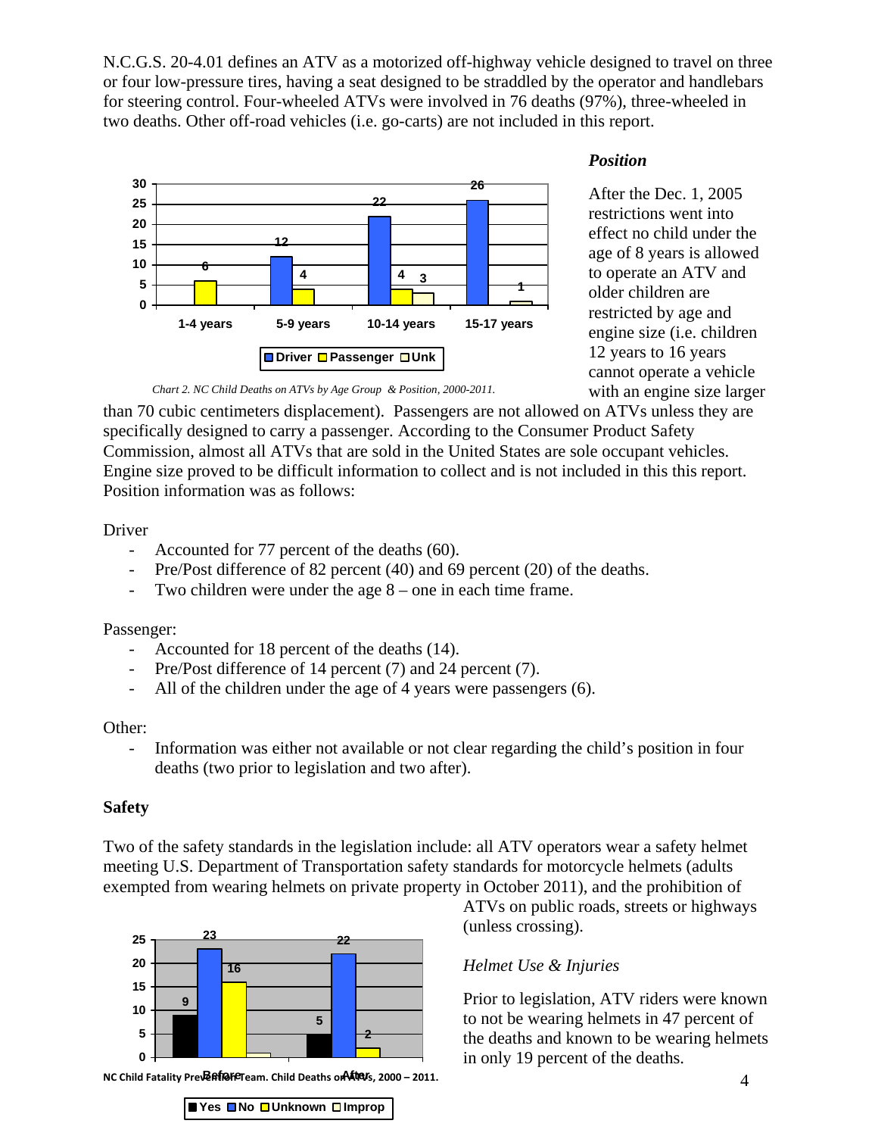N.C.G.S. 20-4.01 defines an ATV as a motorized off-highway vehicle designed to travel on three or four low-pressure tires, having a seat designed to be straddled by the operator and handlebars for steering control. Four-wheeled ATVs were involved in 76 deaths (97%), three-wheeled in two deaths. Other off-road vehicles (i.e. go-carts) are not included in this report.



*Position* 

After the Dec. 1, 2005 restrictions went into effect no child under the age of 8 years is allowed to operate an ATV and older children are restricted by age and engine size (i.e. children 12 years to 16 years cannot operate a vehicle with an engine size larger

*Chart 2. NC Child Deaths on ATVs by Age Group & Position, 2000-2011.* 

than 70 cubic centimeters displacement). Passengers are not allowed on ATVs unless they are specifically designed to carry a passenger. According to the Consumer Product Safety Commission, almost all ATVs that are sold in the United States are sole occupant vehicles. Engine size proved to be difficult information to collect and is not included in this this report. Position information was as follows:

#### Driver

- Accounted for 77 percent of the deaths (60).
- Pre/Post difference of 82 percent (40) and 69 percent (20) of the deaths.
- Two children were under the age  $8$  one in each time frame.

Passenger:

- Accounted for 18 percent of the deaths (14).
- Pre/Post difference of 14 percent (7) and 24 percent (7).
- All of the children under the age of 4 years were passengers (6).

#### Other:

- Information was either not available or not clear regarding the child's position in four deaths (two prior to legislation and two after).

# **Safety**

Two of the safety standards in the legislation include: all ATV operators wear a safety helmet meeting U.S. Department of Transportation safety standards for motorcycle helmets (adults exempted from wearing helmets on private property in October 2011), and the prohibition of



**NC Child Fatality Prevention Team. Child Deaths on ATVs, <sup>2000</sup> – 2011.**  4 **Before After**

ATVs on public roads, streets or highways (unless crossing).

# *Helmet Use & Injuries*

Prior to legislation, ATV riders were known to not be wearing helmets in 47 percent of the deaths and known to be wearing helmets in only 19 percent of the deaths.

**Yes No Unknown Improp**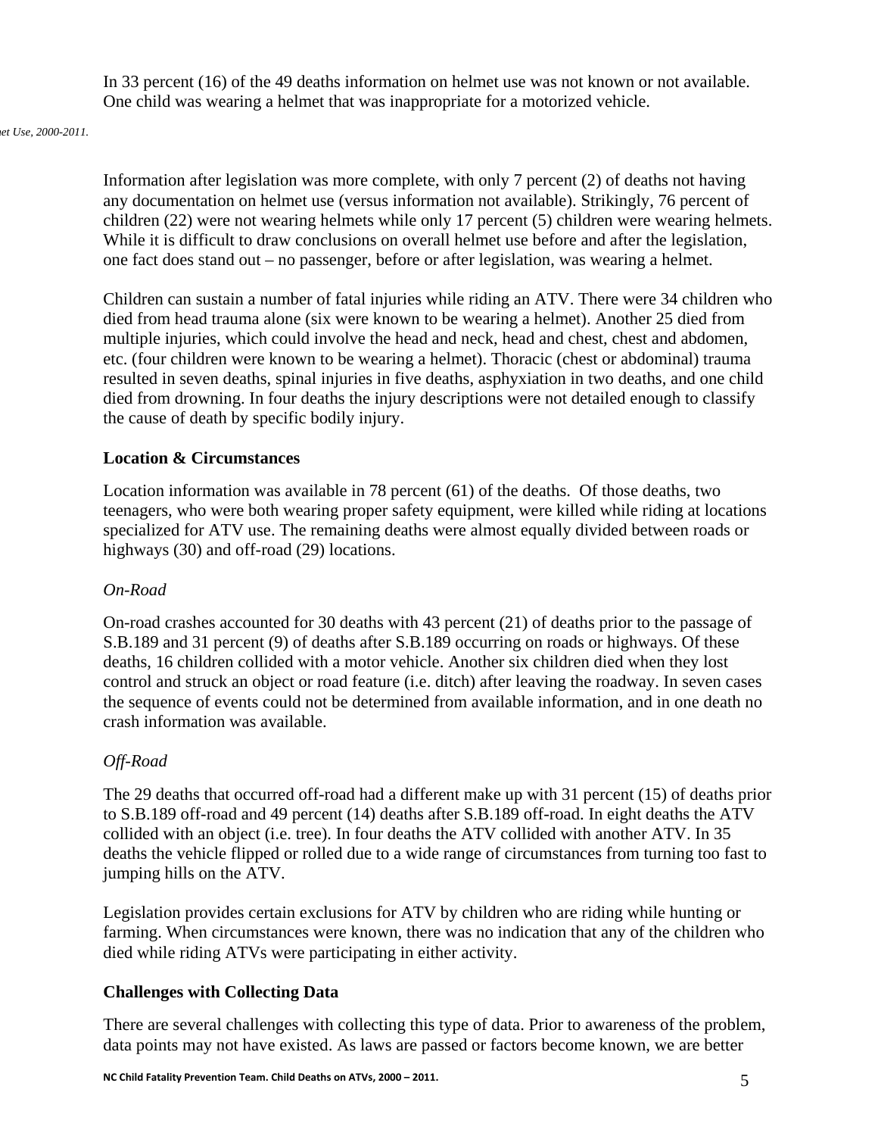In 33 percent (16) of the 49 deaths information on helmet use was not known or not available. One child was wearing a helmet that was inappropriate for a motorized vehicle.

#### *met Use, 2000-2011.*

Information after legislation was more complete, with only 7 percent (2) of deaths not having any documentation on helmet use (versus information not available). Strikingly, 76 percent of children (22) were not wearing helmets while only 17 percent (5) children were wearing helmets. While it is difficult to draw conclusions on overall helmet use before and after the legislation, one fact does stand out – no passenger, before or after legislation, was wearing a helmet.

Children can sustain a number of fatal injuries while riding an ATV. There were 34 children who died from head trauma alone (six were known to be wearing a helmet). Another 25 died from multiple injuries, which could involve the head and neck, head and chest, chest and abdomen, etc. (four children were known to be wearing a helmet). Thoracic (chest or abdominal) trauma resulted in seven deaths, spinal injuries in five deaths, asphyxiation in two deaths, and one child died from drowning. In four deaths the injury descriptions were not detailed enough to classify the cause of death by specific bodily injury.

#### **Location & Circumstances**

Location information was available in 78 percent (61) of the deaths. Of those deaths, two teenagers, who were both wearing proper safety equipment, were killed while riding at locations specialized for ATV use. The remaining deaths were almost equally divided between roads or highways (30) and off-road (29) locations.

#### *On-Road*

On-road crashes accounted for 30 deaths with 43 percent (21) of deaths prior to the passage of S.B.189 and 31 percent (9) of deaths after S.B.189 occurring on roads or highways. Of these deaths, 16 children collided with a motor vehicle. Another six children died when they lost control and struck an object or road feature (i.e. ditch) after leaving the roadway. In seven cases the sequence of events could not be determined from available information, and in one death no crash information was available.

#### *Off-Road*

The 29 deaths that occurred off-road had a different make up with 31 percent (15) of deaths prior to S.B.189 off-road and 49 percent (14) deaths after S.B.189 off-road. In eight deaths the ATV collided with an object (i.e. tree). In four deaths the ATV collided with another ATV. In 35 deaths the vehicle flipped or rolled due to a wide range of circumstances from turning too fast to jumping hills on the ATV.

Legislation provides certain exclusions for ATV by children who are riding while hunting or farming. When circumstances were known, there was no indication that any of the children who died while riding ATVs were participating in either activity.

#### **Challenges with Collecting Data**

There are several challenges with collecting this type of data. Prior to awareness of the problem, data points may not have existed. As laws are passed or factors become known, we are better